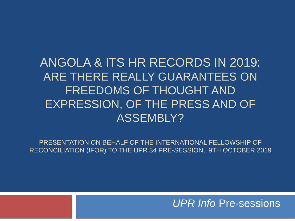## ANGOLA & ITS HR RECORDS IN 2019: ARE THERE REALLY GUARANTEES ON FREEDOMS OF THOUGHT AND EXPRESSION, OF THE PRESS AND OF ASSEMBLY?

PRESENTATION ON BEHALF OF THE INTERNATIONAL FELLOWSHIP OF RECONCILIATION (IFOR) TO THE UPR 34 PRE-SESSION, 9TH OCTOBER 2019

*UPR Info* Pre-sessions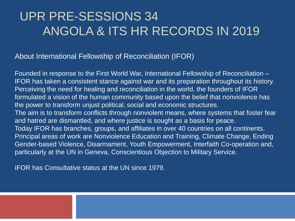# UPR PRE-SESSIONS 34 ANGOLA & ITS HR RECORDS IN 2019

About International Fellowship of Reconciliation (IFOR)

Founded in response to the First World War, International Fellowship of Reconciliation – IFOR has taken a consistent stance against war and its preparation throughout its history. Perceiving the need for healing and reconciliation in the world, the founders of IFOR formulated a vision of the human community based upon the belief that nonviolence has the power to transform unjust political, social and economic structures. The aim is to transform conflicts through nonviolent means, where systems that foster fear and hatred are dismantled, and where justice is sought as a basis for peace. Today IFOR has branches, groups, and affiliates in over 40 countries on all continents. Principal areas of work are Nonviolence Education and Training, Climate Change, Ending Gender-based Violence, Disarmament, Youth Empowerment, Interfaith Co-operation and, particularly at the UN in Geneva, Conscientious Objection to Military Service.

IFOR has Consultative status at the UN since 1979.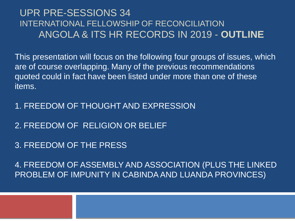## UPR PRE-SESSIONS 34 INTERNATIONAL FELLOWSHIP OF RECONCILIATION ANGOLA & ITS HR RECORDS IN 2019 - **OUTLINE**

This presentation will focus on the following four groups of issues, which are of course overlapping. Many of the previous recommendations quoted could in fact have been listed under more than one of these items.

- 1. FREEDOM OF THOUGHT AND EXPRESSION
- 2. FREEDOM OF RELIGION OR BELIEF
- 3. FREEDOM OF THE PRESS

4. FREEDOM OF ASSEMBLY AND ASSOCIATION (PLUS THE LINKED PROBLEM OF IMPUNITY IN CABINDA AND LUANDA PROVINCES)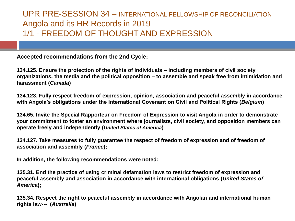## UPR PRE-SESSION 34 – INTERNATIONAL FELLOWSHIP OF RECONCILIATION Angola and its HR Records in 2019 1/1 - FREEDOM OF THOUGHT AND EXPRESSION

**Accepted recommendations from the 2nd Cycle:**

**134.125. Ensure the protection of the rights of individuals – including members of civil society organizations, the media and the political opposition – to assemble and speak free from intimidation and harassment (***Canada***)**

**134.123. Fully respect freedom of expression, opinion, association and peaceful assembly in accordance with Angola's obligations under the International Covenant on Civil and Political Rights (***Belgium***)**

**134.65. Invite the Special Rapporteur on Freedom of Expression to visit Angola in order to demonstrate your commitment to foster an environment where journalists, civil society, and opposition members can operate freely and independently (***United States of America***)**

**134.127. Take measures to fully guarantee the respect of freedom of expression and of freedom of association and assembly (***France***);**

**In addition, the following recommendations were noted:**

**135.31. End the practice of using criminal defamation laws to restrict freedom of expression and peaceful assembly and association in accordance with international obligations (***United States of America***);**

**135.34. Respect the right to peaceful assembly in accordance with Angolan and international human rights law--- (***Australia***)**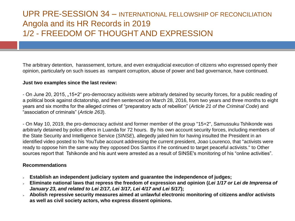## UPR PRE-SESSION 34 – INTERNATIONAL FELLOWSHIP OF RECONCILIATION Angola and its HR Records in 2019 1/2 - FREEDOM OF THOUGHT AND EXPRESSION

The arbitrary detention, harassement, torture, and even extrajudicial execution of citizens who expressed openly their opinion, particularly on such issues as rampant corruption, abuse of power and bad governance, have continued.

#### **Just two examples since the last review:**

- On June 20, 2015, "15+2" pro-democracy acitivists were arbitrarly detained by security forces, for a public reading of a political book against dictatorship, and then sentenced on March 28, 2016, from two years and three months to eight years and six months for the alleged crimes of "preparatory acts of rebellion" (*Article 21 of the Criminal Code*) and "association of criminals" (*Article 263*).

- On May 10, 2019, the pro-democracy activist and former member of the group "15+2", Samussuku Tshikonde was arbitrarly detained by police offers in Luanda for 72 hours. By his own account security forces, including members of the State Security and Intelligence Service (*SINSE*), allegedly jailed him for having insulted the President in an identified video posted to his YouTube account addressing the current president, Joao Lourenco, that "activists were ready to oppose him the same way they opposed Dos Santos if he continued to target peaceful activists." to Other sources report that Tshikonde and his aunt were arrested as a result of SINSE's monitoring of his "online activities".

#### **Recommendations**

- ➢ **Establish an independent judiciary system and guarantee the independence of judges;**
- ➢ **Eliminate national laws that repress the freedom of expression and opinion (***Lei 1/17 or Lei de Imprensa of January 23, and related to Lei 2/17, Lei 3/17, Lei 4/17 and Lei 5/17***);**
- ➢ **Abolish repressive security measures aimed at unlawful electronic monitoring of citizens and/or activists as well as civil society actors, who express dissent opinions.**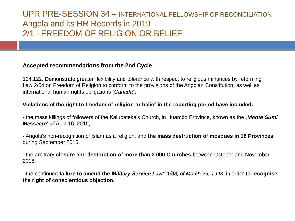## UPR PRE-SESSION 34 – INTERNATIONAL FELLOWSHIP OF RECONCILIATION Angola and its HR Records in 2019 2/1 - FREEDOM OF RELIGION OR BELIEF

#### **Accepted recommendations from the 2nd Cycle**

134.122. Demonstrate greater flexibility and tolerance with respect to religious minorities by reforming Law 2/04 on Freedom of Religion to conform to the provisions of the Angolan Constitution, as well as international human rights obligations (*Canada*);

#### **Violations of the right to freedom of religion or belief in the reporting period have included:**

**-** the mass killings of followers of the Kalupeteka's Church, in Huambo Province, known as the "*Monte Sumi Massacre*" of April 16, 2015,

- Angola's non-recognition of Islam as a religion, and **the mass destruction of mosques in 18 Provinces** during September 2015,

- the arbitrary **closure and destruction of more than 2.000 Churches** between October and November 2018,

- the continued **failure to amend the** *Military Service Law" 1/93, of March 26, 1993*, in order **to recognise the right of conscientious objection**.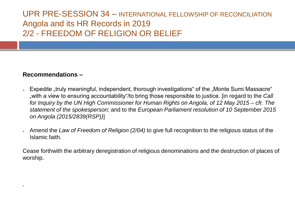## UPR PRE-SESSION 34 – INTERNATIONAL FELLOWSHIP OF RECONCILIATION Angola and its HR Records in 2019 2/2 - FREEDOM OF RELIGION OR BELIEF

#### **Recommendations –**

➢

- $\triangleright$  Expedite "truly meaningful, independent, thorough investigations" of the "Monte Sumi Massacre" with a view to ensuring accountability"/to bring those responsible to justice. [in regard to the *Call for Inquiry by the UN High Commissioner for Human Rights on Angola, of 12 May 2015 – cfr. The statement of the spokesperson*; and to the *European Parliament resolution of 10 September 2015 on Angola (2015/2839(RSP))*]
- ➢ Amend the *Law of Freedom of Religion (2/04)* to give full recognition to the religious status of the Islamic faith.

Cease forthwith the arbitrary deregistration of religious denominations and the destruction of places of worship.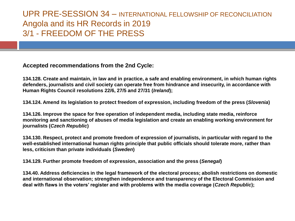## UPR PRE-SESSION 34 – INTERNATIONAL FELLOWSHIP OF RECONCILIATION Angola and its HR Records in 2019 3/1 - FREEDOM OF THE PRESS

**Accepted recommendations from the 2nd Cycle:**

**134.128. Create and maintain, in law and in practice, a safe and enabling environment, in which human rights defenders, journalists and civil society can operate free from hindrance and insecurity, in accordance with Human Rights Council resolutions 22/6, 27/5 and 27/31 (***Ireland***);**

**134.124. Amend its legislation to protect freedom of expression, including freedom of the press (***Slovenia***)** 

**134.126. Improve the space for free operation of independent media, including state media, reinforce monitoring and sanctioning of abuses of media legislation and create an enabling working environment for journalists (***Czech Republic***)**

**134.130. Respect, protect and promote freedom of expression of journalists, in particular with regard to the well-established international human rights principle that public officials should tolerate more, rather than less, criticism than private individuals (***Sweden***)**

**134.129. Further promote freedom of expression, association and the press (***Senegal***)**

**134.40. Address deficiencies in the legal framework of the electoral process; abolish restrictions on domestic and international observation; strengthen independence and transparency of the Electoral Commission and deal with flaws in the voters' register and with problems with the media coverage (***Czech Republic***);**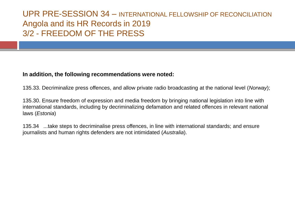## UPR PRE-SESSION 34 – INTERNATIONAL FELLOWSHIP OF RECONCILIATION Angola and its HR Records in 2019 3/2 - FREEDOM OF THE PRESS

#### **In addition, the following recommendations were noted:**

135.33. Decriminalize press offences, and allow private radio broadcasting at the national level (*Norway*);

135.30. Ensure freedom of expression and media freedom by bringing national legislation into line with international standards, including by decriminalizing defamation and related offences in relevant national laws (*Estonia*)

135.34 ...take steps to decriminalise press offences, in line with international standards; and ensure journalists and human rights defenders are not intimidated (*Australia*).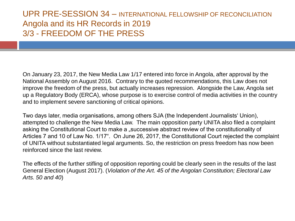## UPR PRE-SESSION 34 – INTERNATIONAL FELLOWSHIP OF RECONCILIATION Angola and its HR Records in 2019 3/3 - FREEDOM OF THE PRESS

On January 23, 2017, the New Media Law 1/17 entered into force in Angola, after approval by the National Assembly on August 2016. Contrary to the quoted recommendations, this Law does not improve the freedom of the press, but actually increases repression. Alongside the Law, Angola set up a Regulatory Body (ERCA), whose purpose is to exercise control of media activities in the country and to implement severe sanctioning of critical opinions.

Two days later, media organisations, among others SJA (the Independent Journalists' Union), attempted to challenge the New Media Law. The main opposition party UNITA also filed a complaint asking the Constitutional Court to make a "successive abstract review of the constitutionality of Articles 7 and 10 of Law No. 1/17". On June 26, 2017, the Constitutional Court rejected the complaint of UNITA without substantiated legal arguments. So, the restriction on press freedom has now been reinforced since the last review.

The effects of the further stifling of opposition reporting could be clearly seen in the results of the last General Election (August 2017). (*Violation of the Art. 45 of the Angolan Constitution; Electoral Law Arts. 50 and 40*)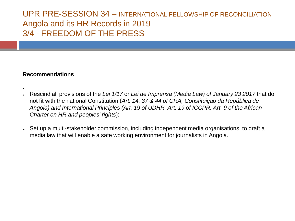#### UPR PRE-SESSION 34 – INTERNATIONAL FELLOWSHIP OF RECONCILIATION Angola and its HR Records in 2019 3/4 - FREEDOM OF THE PRESS

#### **Recommendations**

➢

- ➢ Rescind all provisions of the *Lei 1/17* or *Lei de Imprensa (Media Law) of January 23 2017* that do not fit with the national Constitution (*Art. 14, 37 & 44 of CRA, Constituição da República de Angola) and International Principles (Art. 19 of UDHR, Art. 19 of ICCPR, Art. 9 of the African Charter on HR and peoples' rights*);
- $\triangleright$  Set up a multi-stakeholder commission, including independent media organisations, to draft a media law that will enable a safe working environment for journalists in Angola.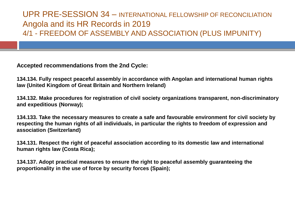## UPR PRE-SESSION 34 – INTERNATIONAL FELLOWSHIP OF RECONCILIATION Angola and its HR Records in 2019 4/1 - FREEDOM OF ASSEMBLY AND ASSOCIATION (PLUS IMPUNITY)

**Accepted recommendations from the 2nd Cycle:**

**134.134. Fully respect peaceful assembly in accordance with Angolan and international human rights law (United Kingdom of Great Britain and Northern Ireland)**

**134.132. Make procedures for registration of civil society organizations transparent, non-discriminatory and expeditious (Norway);**

**134.133. Take the necessary measures to create a safe and favourable environment for civil society by respecting the human rights of all individuals, in particular the rights to freedom of expression and association (Switzerland)**

**134.131. Respect the right of peaceful association according to its domestic law and international human rights law (Costa Rica);** 

**134.137. Adopt practical measures to ensure the right to peaceful assembly guaranteeing the proportionality in the use of force by security forces (Spain);**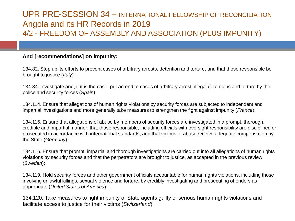## UPR PRE-SESSION 34 – INTERNATIONAL FELLOWSHIP OF RECONCILIATION Angola and its HR Records in 2019 4/2 - FREEDOM OF ASSEMBLY AND ASSOCIATION (PLUS IMPUNITY)

#### **And [recommendations] on impunity:**

134.82. Step up its efforts to prevent cases of arbitrary arrests, detention and torture, and that those responsible be brought to justice (*Italy*)

134.84. Investigate and, if it is the case, put an end to cases of arbitrary arrest, illegal detentions and torture by the police and security forces (*Spain*)

134.114. Ensure that allegations of human rights violations by security forces are subjected to independent and impartial investigations and more generally take measures to strengthen the fight against impunity (*France*);

134.115. Ensure that allegations of abuse by members of security forces are investigated in a prompt, thorough, credible and impartial manner; that those responsible, including officials with oversight responsibility are disciplined or prosecuted in accordance with international standards; and that victims of abuse receive adequate compensation by the State (*Germany*);

134.116. Ensure that prompt, impartial and thorough investigations are carried out into all allegations of human rights violations by security forces and that the perpetrators are brought to justice, as accepted in the previous review (*Sweden*);

134.119. Hold security forces and other government officials accountable for human rights violations, including those involving unlawful killings, sexual violence and torture, by credibly investigating and prosecuting offenders as appropriate (*United States of America*);

134.120. Take measures to fight impunity of State agents guilty of serious human rights violations and facilitate access to justice for their victims (*Switzerland*);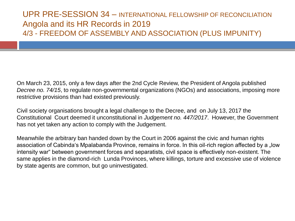#### UPR PRE-SESSION 34 – INTERNATIONAL FELLOWSHIP OF RECONCILIATION Angola and its HR Records in 2019 4/3 - FREEDOM OF ASSEMBLY AND ASSOCIATION (PLUS IMPUNITY)

On March 23, 2015, only a few days after the 2nd Cycle Review, the President of Angola published *Decree no. 74/15*, to regulate non-governmental organizations (NGOs) and associations, imposing more restrictive provisions than had existed previously.

Civil society organisations brought a legal challenge to the Decree, and on July 13, 2017 the Constitutional Court deemed it unconstitutional in *Judgement no. 447/2017*. However, the Government has not yet taken any action to comply with the Judgement.

Meanwhile the arbitrary ban handed down by the Court in 2006 against the civic and human rights association of Cabinda's Mpalabanda Province, remains in force. In this oil-rich region affected by a "low intensity war" between government forces and separatists, civil space is effectively non-existent. The same applies in the diamond-rich Lunda Provinces, where killings, torture and excessive use of violence by state agents are common, but go uninvestigated.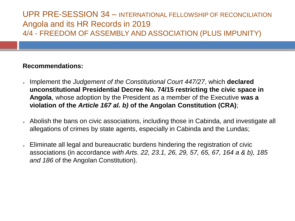## UPR PRE-SESSION 34 – INTERNATIONAL FELLOWSHIP OF RECONCILIATION Angola and its HR Records in 2019 4/4 - FREEDOM OF ASSEMBLY AND ASSOCIATION (PLUS IMPUNITY)

#### **Recommendations:**

- ➢ Implement the *Judgement of the Constitutional Court 447/27*, which **declared unconstitutional Presidential Decree No. 74/15 restricting the civic space in Angola**, whose adoption by the President as a member of the Executive **was a violation of the** *Article 167 al. b)* **of the Angolan Constitution (CRA)**;
- ➢ Abolish the bans on civic associations, including those in Cabinda, and investigate all allegations of crimes by state agents, especially in Cabinda and the Lundas;
- ➢ Eliminate all legal and bureaucratic burdens hindering the registration of civic associations (in accordance *with Arts. 22, 23.1, 26, 29, 57, 65, 67, 164 a & b), 185 and 186* of the Angolan Constitution).